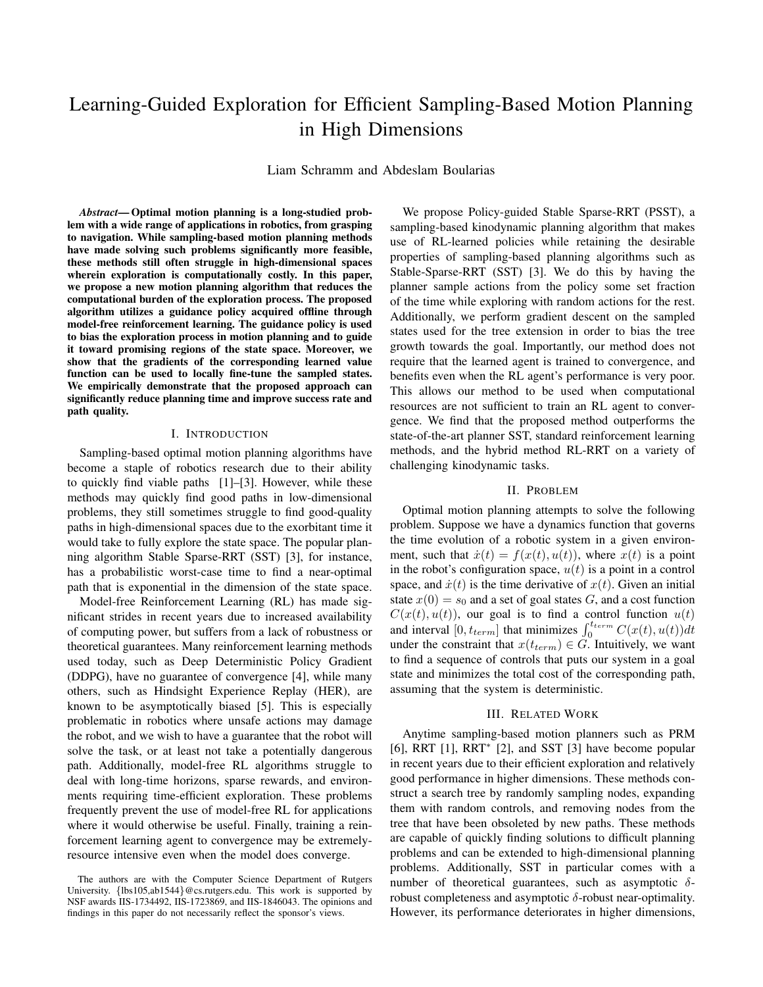# Learning-Guided Exploration for Efficient Sampling-Based Motion Planning in High Dimensions

Liam Schramm and Abdeslam Boularias

Abstract-Optimal motion planning is a long-studied problem with a wide range of applications in robotics, from grasping to navigation. While sampling-based motion planning methods have made solving such problems significantly more feasible, these methods still often struggle in high-dimensional spaces wherein exploration is computationally costly. In this paper, we propose a new motion planning algorithm that reduces the computational burden of the exploration process. The proposed algorithm utilizes a guidance policy acquired offline through model-free reinforcement learning. The guidance policy is used to bias the exploration process in motion planning and to guide it toward promising regions of the state space. Moreover, we show that the gradients of the corresponding learned value function can be used to locally fine-tune the sampled states. We empirically demonstrate that the proposed approach can significantly reduce planning time and improve success rate and path quality.

## I. INTRODUCTION

Sampling-based optimal motion planning algorithms have become a staple of robotics research due to their ability to quickly find viable paths  $[1]-[3]$ . However, while these methods may quickly find good paths in low-dimensional problems, they still sometimes struggle to find good-quality paths in high-dimensional spaces due to the exorbitant time it would take to fully explore the state space. The popular planning algorithm Stable Sparse-RRT (SST) [3], for instance, has a probabilistic worst-case time to find a near-optimal path that is exponential in the dimension of the state space.

Model-free Reinforcement Learning (RL) has made significant strides in recent years due to increased availability of computing power, but suffers from a lack of robustness or theoretical guarantees. Many reinforcement learning methods used today, such as Deep Deterministic Policy Gradient (DDPG), have no guarantee of convergence [4], while many others, such as Hindsight Experience Replay (HER), are known to be asymptotically biased [5]. This is especially problematic in robotics where unsafe actions may damage the robot, and we wish to have a guarantee that the robot will solve the task, or at least not take a potentially dangerous path. Additionally, model-free RL algorithms struggle to deal with long-time horizons, sparse rewards, and environments requiring time-efficient exploration. These problems frequently prevent the use of model-free RL for applications where it would otherwise be useful. Finally, training a reinforcement learning agent to convergence may be extremelyresource intensive even when the model does converge.

We propose Policy-guided Stable Sparse-RRT (PSST), a sampling-based kinodynamic planning algorithm that makes use of RL-learned policies while retaining the desirable properties of sampling-based planning algorithms such as Stable-Sparse-RRT (SST) [3]. We do this by having the planner sample actions from the policy some set fraction of the time while exploring with random actions for the rest. Additionally, we perform gradient descent on the sampled states used for the tree extension in order to bias the tree growth towards the goal. Importantly, our method does not require that the learned agent is trained to convergence, and benefits even when the RL agent's performance is very poor. This allows our method to be used when computational resources are not sufficient to train an RL agent to convergence. We find that the proposed method outperforms the state-of-the-art planner SST, standard reinforcement learning methods, and the hybrid method RL-RRT on a variety of challenging kinodynamic tasks.

#### II. PROBLEM

Optimal motion planning attempts to solve the following problem. Suppose we have a dynamics function that governs the time evolution of a robotic system in a given environment, such that  $\dot{x}(t) = f(x(t), u(t))$ , where  $x(t)$  is a point in the robot's configuration space,  $u(t)$  is a point in a control space, and  $\dot{x}(t)$  is the time derivative of  $x(t)$ . Given an initial state  $x(0) = s_0$  and a set of goal states G, and a cost function  $C(x(t), u(t))$ , our goal is to find a control function  $u(t)$ and interval [0,  $t_{term}$ ] that minimizes  $\int_0^{t_{term}} C(x(t), u(t)) dt$ under the constraint that  $x(t_{term}) \in G$ . Intuitively, we want to find a sequence of controls that puts our system in a goal state and minimizes the total cost of the corresponding path, assuming that the system is deterministic.

## **III. RELATED WORK**

Anytime sampling-based motion planners such as PRM [6], RRT  $[1]$ , RRT<sup>\*</sup>  $[2]$ , and SST  $[3]$  have become popular in recent years due to their efficient exploration and relatively good performance in higher dimensions. These methods construct a search tree by randomly sampling nodes, expanding them with random controls, and removing nodes from the tree that have been obsoleted by new paths. These methods are capable of quickly finding solutions to difficult planning problems and can be extended to high-dimensional planning problems. Additionally, SST in particular comes with a number of theoretical guarantees, such as asymptotic  $\delta$ robust completeness and asymptotic  $\delta$ -robust near-optimality. However, its performance deteriorates in higher dimensions,

The authors are with the Computer Science Department of Rutgers University. {lbs105,ab1544}@cs.rutgers.edu. This work is supported by NSF awards IIS-1734492, IIS-1723869, and IIS-1846043. The opinions and findings in this paper do not necessarily reflect the sponsor's views.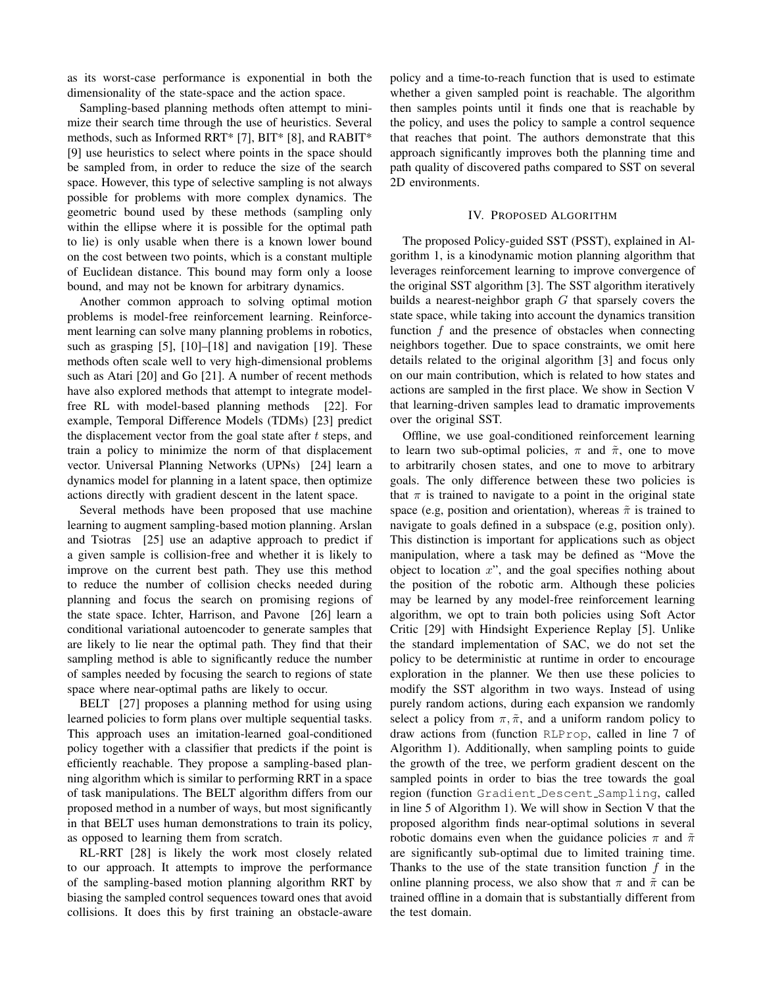as its worst-case performance is exponential in both the dimensionality of the state-space and the action space.

Sampling-based planning methods often attempt to minimize their search time through the use of heuristics. Several methods, such as Informed RRT\* [7], BIT\* [8], and RABIT\* [9] use heuristics to select where points in the space should be sampled from, in order to reduce the size of the search space. However, this type of selective sampling is not always possible for problems with more complex dynamics. The geometric bound used by these methods (sampling only within the ellipse where it is possible for the optimal path to lie) is only usable when there is a known lower bound on the cost between two points, which is a constant multiple of Euclidean distance. This bound may form only a loose bound, and may not be known for arbitrary dynamics.

Another common approach to solving optimal motion problems is model-free reinforcement learning. Reinforcement learning can solve many planning problems in robotics, such as grasping  $[5]$ ,  $[10]$ – $[18]$  and navigation  $[19]$ . These methods often scale well to very high-dimensional problems such as Atari [20] and Go [21]. A number of recent methods have also explored methods that attempt to integrate modelfree RL with model-based planning methods [22]. For example, Temporal Difference Models (TDMs) [23] predict the displacement vector from the goal state after  $t$  steps, and train a policy to minimize the norm of that displacement vector. Universal Planning Networks (UPNs) [24] learn a dynamics model for planning in a latent space, then optimize actions directly with gradient descent in the latent space.

Several methods have been proposed that use machine learning to augment sampling-based motion planning. Arslan and Tsiotras [25] use an adaptive approach to predict if a given sample is collision-free and whether it is likely to improve on the current best path. They use this method to reduce the number of collision checks needed during planning and focus the search on promising regions of the state space. Ichter, Harrison, and Pavone [26] learn a conditional variational autoencoder to generate samples that are likely to lie near the optimal path. They find that their sampling method is able to significantly reduce the number of samples needed by focusing the search to regions of state space where near-optimal paths are likely to occur.

BELT [27] proposes a planning method for using using learned policies to form plans over multiple sequential tasks. This approach uses an imitation-learned goal-conditioned policy together with a classifier that predicts if the point is efficiently reachable. They propose a sampling-based planning algorithm which is similar to performing RRT in a space of task manipulations. The BELT algorithm differs from our proposed method in a number of ways, but most significantly in that BELT uses human demonstrations to train its policy, as opposed to learning them from scratch.

RL-RRT [28] is likely the work most closely related to our approach. It attempts to improve the performance of the sampling-based motion planning algorithm RRT by biasing the sampled control sequences toward ones that avoid collisions. It does this by first training an obstacle-aware policy and a time-to-reach function that is used to estimate whether a given sampled point is reachable. The algorithm then samples points until it finds one that is reachable by the policy, and uses the policy to sample a control sequence that reaches that point. The authors demonstrate that this approach significantly improves both the planning time and path quality of discovered paths compared to SST on several 2D environments.

# IV. PROPOSED ALGORITHM

The proposed Policy-guided SST (PSST), explained in Algorithm 1, is a kinodynamic motion planning algorithm that leverages reinforcement learning to improve convergence of the original SST algorithm [3]. The SST algorithm iteratively builds a nearest-neighbor graph  $G$  that sparsely covers the state space, while taking into account the dynamics transition function  $f$  and the presence of obstacles when connecting neighbors together. Due to space constraints, we omit here details related to the original algorithm [3] and focus only on our main contribution, which is related to how states and actions are sampled in the first place. We show in Section V that learning-driven samples lead to dramatic improvements over the original SST.

Offline, we use goal-conditioned reinforcement learning to learn two sub-optimal policies,  $\pi$  and  $\tilde{\pi}$ , one to move to arbitrarily chosen states, and one to move to arbitrary goals. The only difference between these two policies is that  $\pi$  is trained to navigate to a point in the original state space (e.g. position and orientation), whereas  $\tilde{\pi}$  is trained to navigate to goals defined in a subspace (e.g, position only). This distinction is important for applications such as object manipulation, where a task may be defined as "Move the object to location  $x$ ", and the goal specifies nothing about the position of the robotic arm. Although these policies may be learned by any model-free reinforcement learning algorithm, we opt to train both policies using Soft Actor Critic [29] with Hindsight Experience Replay [5]. Unlike the standard implementation of SAC, we do not set the policy to be deterministic at runtime in order to encourage exploration in the planner. We then use these policies to modify the SST algorithm in two ways. Instead of using purely random actions, during each expansion we randomly select a policy from  $\pi$ ,  $\tilde{\pi}$ , and a uniform random policy to draw actions from (function RLProp, called in line 7 of Algorithm 1). Additionally, when sampling points to guide the growth of the tree, we perform gradient descent on the sampled points in order to bias the tree towards the goal region (function Gradient Descent Sampling, called in line 5 of Algorithm 1). We will show in Section V that the proposed algorithm finds near-optimal solutions in several robotic domains even when the guidance policies  $\pi$  and  $\tilde{\pi}$ are significantly sub-optimal due to limited training time. Thanks to the use of the state transition function  $f$  in the online planning process, we also show that  $\pi$  and  $\tilde{\pi}$  can be trained offline in a domain that is substantially different from the test domain.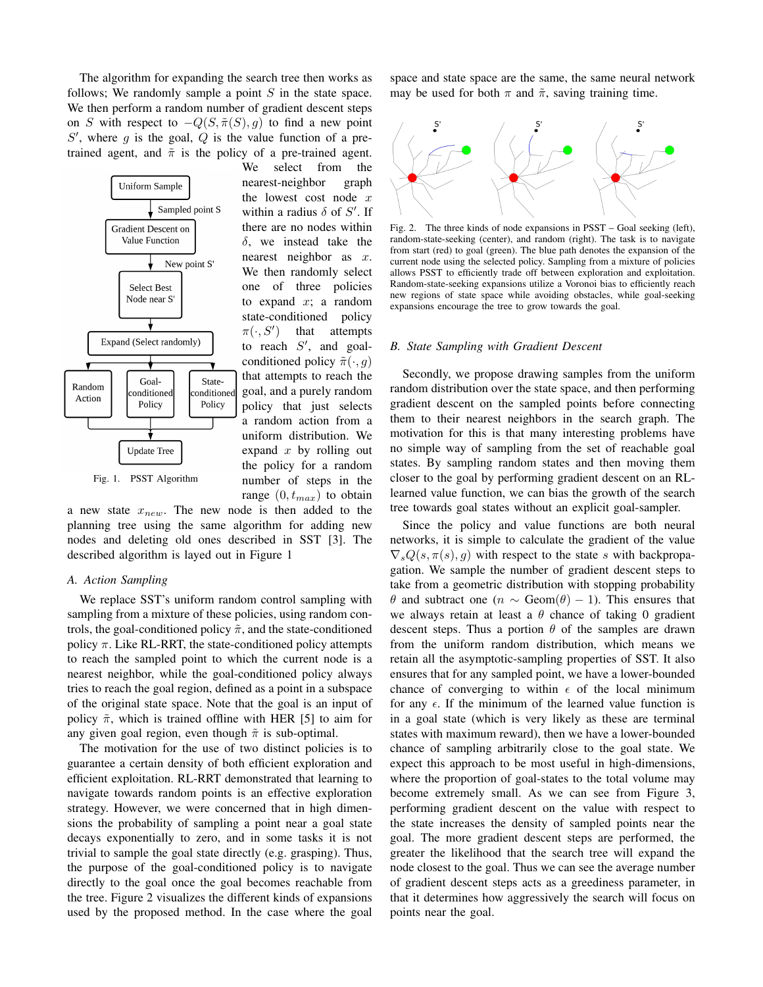The algorithm for expanding the search tree then works as follows; We randomly sample a point  $S$  in the state space. We then perform a random number of gradient descent steps on S with respect to  $-Q(S, \tilde{\pi}(S), g)$  to find a new point  $S'$ , where g is the goal, Q is the value function of a pretrained agent, and  $\tilde{\pi}$  is the policy of a pre-trained agent.



select from the We nearest-neighbor graph the lowest cost node  $x$ within a radius  $\delta$  of S'. If there are no nodes within  $\delta$ , we instead take the nearest neighbor as  $x$ . We then randomly select one of three policies to expand  $x$ ; a random state-conditioned policy  $\pi(\cdot, S')$ that attempts to reach  $S'$ , and goalconditioned policy  $\tilde{\pi}(\cdot, q)$ that attempts to reach the goal, and a purely random policy that just selects a random action from a uniform distribution. We expand  $x$  by rolling out the policy for a random number of steps in the range  $(0, t_{max})$  to obtain

a new state  $x_{new}$ . The new node is then added to the planning tree using the same algorithm for adding new nodes and deleting old ones described in SST [3]. The described algorithm is layed out in Figure 1

## A. Action Sampling

We replace SST's uniform random control sampling with sampling from a mixture of these policies, using random controls, the goal-conditioned policy  $\tilde{\pi}$ , and the state-conditioned policy  $\pi$ . Like RL-RRT, the state-conditioned policy attempts to reach the sampled point to which the current node is a nearest neighbor, while the goal-conditioned policy always tries to reach the goal region, defined as a point in a subspace of the original state space. Note that the goal is an input of policy  $\tilde{\pi}$ , which is trained offline with HER [5] to aim for any given goal region, even though  $\tilde{\pi}$  is sub-optimal.

The motivation for the use of two distinct policies is to guarantee a certain density of both efficient exploration and efficient exploitation. RL-RRT demonstrated that learning to navigate towards random points is an effective exploration strategy. However, we were concerned that in high dimensions the probability of sampling a point near a goal state decays exponentially to zero, and in some tasks it is not trivial to sample the goal state directly (e.g. grasping). Thus, the purpose of the goal-conditioned policy is to navigate directly to the goal once the goal becomes reachable from the tree. Figure 2 visualizes the different kinds of expansions used by the proposed method. In the case where the goal space and state space are the same, the same neural network may be used for both  $\pi$  and  $\tilde{\pi}$ , saving training time.



Fig. 2. The three kinds of node expansions in PSST - Goal seeking (left), random-state-seeking (center), and random (right). The task is to navigate from start (red) to goal (green). The blue path denotes the expansion of the current node using the selected policy. Sampling from a mixture of policies allows PSST to efficiently trade off between exploration and exploitation. Random-state-seeking expansions utilize a Voronoi bias to efficiently reach new regions of state space while avoiding obstacles, while goal-seeking expansions encourage the tree to grow towards the goal.

#### **B.** State Sampling with Gradient Descent

Secondly, we propose drawing samples from the uniform random distribution over the state space, and then performing gradient descent on the sampled points before connecting them to their nearest neighbors in the search graph. The motivation for this is that many interesting problems have no simple way of sampling from the set of reachable goal states. By sampling random states and then moving them closer to the goal by performing gradient descent on an RLlearned value function, we can bias the growth of the search tree towards goal states without an explicit goal-sampler.

Since the policy and value functions are both neural networks, it is simple to calculate the gradient of the value  $\nabla_s Q(s, \pi(s), g)$  with respect to the state s with backpropagation. We sample the number of gradient descent steps to take from a geometric distribution with stopping probability  $\theta$  and subtract one  $(n \sim \text{Geom}(\theta) - 1)$ . This ensures that we always retain at least a  $\theta$  chance of taking 0 gradient descent steps. Thus a portion  $\theta$  of the samples are drawn from the uniform random distribution, which means we retain all the asymptotic-sampling properties of SST. It also ensures that for any sampled point, we have a lower-bounded chance of converging to within  $\epsilon$  of the local minimum for any  $\epsilon$ . If the minimum of the learned value function is in a goal state (which is very likely as these are terminal states with maximum reward), then we have a lower-bounded chance of sampling arbitrarily close to the goal state. We expect this approach to be most useful in high-dimensions, where the proportion of goal-states to the total volume may become extremely small. As we can see from Figure 3, performing gradient descent on the value with respect to the state increases the density of sampled points near the goal. The more gradient descent steps are performed, the greater the likelihood that the search tree will expand the node closest to the goal. Thus we can see the average number of gradient descent steps acts as a greediness parameter, in that it determines how aggressively the search will focus on points near the goal.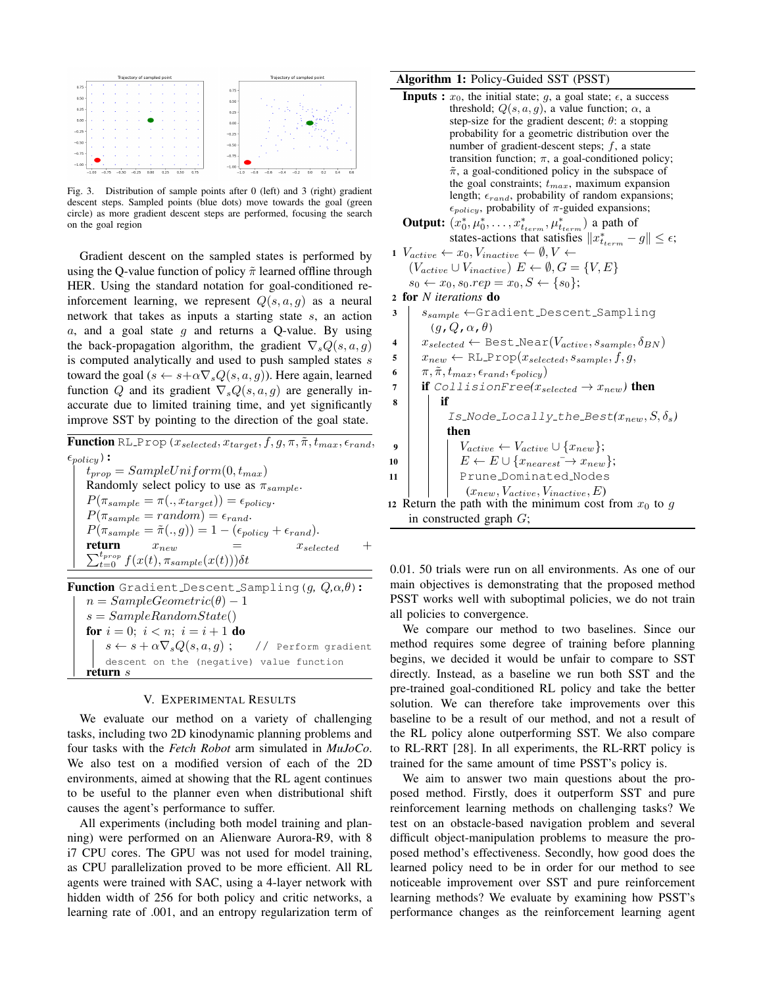

Fig. 3. Distribution of sample points after 0 (left) and 3 (right) gradient descent steps. Sampled points (blue dots) move towards the goal (green circle) as more gradient descent steps are performed, focusing the search on the goal region

Gradient descent on the sampled states is performed by using the Q-value function of policy  $\tilde{\pi}$  learned offline through HER. Using the standard notation for goal-conditioned reinforcement learning, we represent  $Q(s, a, g)$  as a neural network that takes as inputs a starting state  $s$ , an action  $a$ , and a goal state  $g$  and returns a Q-value. By using the back-propagation algorithm, the gradient  $\nabla_s Q(s, a, g)$ is computed analytically and used to push sampled states s toward the goal ( $s \leftarrow s + \alpha \nabla_s Q(s, a, g)$ ). Here again, learned function Q and its gradient  $\nabla_s Q(s, a, g)$  are generally inaccurate due to limited training time, and yet significantly improve SST by pointing to the direction of the goal state.

**Function** RL\_Prop  $(x_{selected}, x_{target}, f, g, \pi, \tilde{\pi}, t_{max}, \epsilon_{rand},$  $\epsilon_{policy}$ ):  $t_{prop} = SampleUniform(0, t_{max})$ Randomly select policy to use as  $\pi_{sample}$ .  $P(\pi_{sample} = \pi(., x_{target})) = \epsilon_{policy}.$  $P(\pi_{sample} = random) = \epsilon_{rand}.$  $P(\pi_{sample} = \tilde{\pi}(. , g)) = 1 - (\epsilon_{policy} + \epsilon_{rand}).$ return  $x_{new}$  $x_{selected}$  $\sum_{t=0}^{t_{prop}} f(x(t), \pi_{sample}(x(t))) \delta t$ 

**Function** Gradient Descent Sampling  $(g, Q, \alpha, \theta)$ :  $n = SampleGeometric(\theta) - 1$  $s = SampleRandomState()$ **for**  $i = 0$ ;  $i < n$ ;  $i = i + 1$  **do**  $s \leftarrow s + \alpha \nabla_s Q(s, a, g)$ ; // Perform gradient descent on the (negative) value function return  $s$ 

## V. EXPERIMENTAL RESULTS

We evaluate our method on a variety of challenging tasks, including two 2D kinodynamic planning problems and four tasks with the Fetch Robot arm simulated in MuJoCo. We also test on a modified version of each of the 2D environments, aimed at showing that the RL agent continues to be useful to the planner even when distributional shift causes the agent's performance to suffer.

All experiments (including both model training and planning) were performed on an Alienware Aurora-R9, with 8 i7 CPU cores. The GPU was not used for model training, as CPU parallelization proved to be more efficient. All RL agents were trained with SAC, using a 4-layer network with hidden width of 256 for both policy and critic networks, a learning rate of .001, and an entropy regularization term of

## Algorithm 1: Policy-Guided SST (PSST)

- **Inputs :**  $x_0$ , the initial state;  $g$ , a goal state;  $\epsilon$ , a success threshold;  $Q(s, a, g)$ , a value function;  $\alpha$ , a step-size for the gradient descent;  $\theta$ : a stopping probability for a geometric distribution over the number of gradient-descent steps;  $f$ , a state transition function;  $\pi$ , a goal-conditioned policy;  $\tilde{\pi}$ , a goal-conditioned policy in the subspace of the goal constraints;  $t_{max}$ , maximum expansion length;  $\epsilon_{rand}$ , probability of random expansions;  $\epsilon_{policy}$ , probability of  $\pi$ -guided expansions; **Output:**  $(x_0^*, \mu_0^*, \ldots, x_{t_{term}}^*, \mu_{t_{term}}^*)$  a path of states-actions that satisfies  $||x^*_{t_{term}} - g|| \leq \epsilon$ ;  $1 \; V_{active} \leftarrow x_0, V_{inactive} \leftarrow \emptyset, V \leftarrow$  $(V_{active} \cup V_{inactive}) \tE \leftarrow \emptyset, G = \{V, E\}$  $s_0 \leftarrow x_0, s_0.rep = x_0, S \leftarrow \{s_0\};$ 2 for N iterations do  $s_{sample} \leftarrow$ Gradient\_Descent\_Sampling  $\mathbf{3}$  $(g, Q, \alpha, \theta)$  $x_{selected} \leftarrow$  Best Near $(V_{active}, s_{sample}, \delta_{BN})$  $\overline{\mathbf{4}}$  $x_{new} \leftarrow \text{RL-Prop}(x_{selected}, s_{sample}, f, g,$ 5  $\boldsymbol{6}$  $\pi, \tilde{\pi}, t_{max}, \epsilon_{rand}, \epsilon_{policy})$ if CollisionFree( $x_{selected} \rightarrow x_{new}$ ) then  $\overline{7}$  $\bf 8$ if Is\_Node\_Locally\_the\_Best( $x_{new}, S, \delta_s$ ) then  $V_{active} \leftarrow V_{active} \cup \{x_{new}\};$ 9  $E \leftarrow E \cup \{x_{nearest} \rightarrow x_{new}\};$ 10 Prune\_Dominated\_Nodes 11  $(x_{new}, V_{active}, V_{inactive}, E)$ 12 Return the path with the minimum cost from  $x_0$  to g
	- in constructed graph  $G$ ;

0.01. 50 trials were run on all environments. As one of our main objectives is demonstrating that the proposed method PSST works well with suboptimal policies, we do not train all policies to convergence.

We compare our method to two baselines. Since our method requires some degree of training before planning begins, we decided it would be unfair to compare to SST directly. Instead, as a baseline we run both SST and the pre-trained goal-conditioned RL policy and take the better solution. We can therefore take improvements over this baseline to be a result of our method, and not a result of the RL policy alone outperforming SST. We also compare to RL-RRT [28]. In all experiments, the RL-RRT policy is trained for the same amount of time PSST's policy is.

We aim to answer two main questions about the proposed method. Firstly, does it outperform SST and pure reinforcement learning methods on challenging tasks? We test on an obstacle-based navigation problem and several difficult object-manipulation problems to measure the proposed method's effectiveness. Secondly, how good does the learned policy need to be in order for our method to see noticeable improvement over SST and pure reinforcement learning methods? We evaluate by examining how PSST's performance changes as the reinforcement learning agent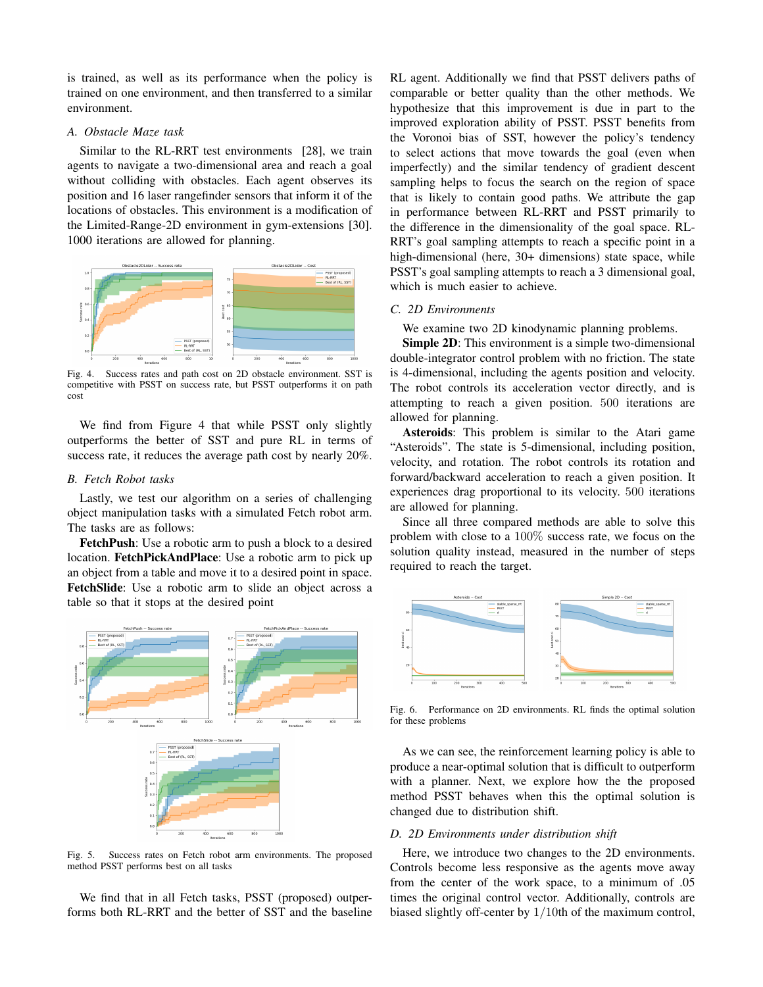is trained, as well as its performance when the policy is trained on one environment, and then transferred to a similar environment.

## A. Obstacle Maze task

Similar to the RL-RRT test environments [28], we train agents to navigate a two-dimensional area and reach a goal without colliding with obstacles. Each agent observes its position and 16 laser rangefinder sensors that inform it of the locations of obstacles. This environment is a modification of the Limited-Range-2D environment in gym-extensions [30]. 1000 iterations are allowed for planning.



Success rates and path cost on 2D obstacle environment. SST is  $Fig. 4.$ competitive with PSST on success rate, but PSST outperforms it on path  $cost$ 

We find from Figure 4 that while PSST only slightly outperforms the better of SST and pure RL in terms of success rate, it reduces the average path cost by nearly 20%.

### **B.** Fetch Robot tasks

Lastly, we test our algorithm on a series of challenging object manipulation tasks with a simulated Fetch robot arm. The tasks are as follows:

FetchPush: Use a robotic arm to push a block to a desired location. FetchPickAndPlace: Use a robotic arm to pick up an object from a table and move it to a desired point in space. FetchSlide: Use a robotic arm to slide an object across a table so that it stops at the desired point



Success rates on Fetch robot arm environments. The proposed Fig. 5. method PSST performs best on all tasks

We find that in all Fetch tasks, PSST (proposed) outperforms both RL-RRT and the better of SST and the baseline RL agent. Additionally we find that PSST delivers paths of comparable or better quality than the other methods. We hypothesize that this improvement is due in part to the improved exploration ability of PSST. PSST benefits from the Voronoi bias of SST, however the policy's tendency to select actions that move towards the goal (even when imperfectly) and the similar tendency of gradient descent sampling helps to focus the search on the region of space that is likely to contain good paths. We attribute the gap in performance between RL-RRT and PSST primarily to the difference in the dimensionality of the goal space. RL-RRT's goal sampling attempts to reach a specific point in a high-dimensional (here, 30+ dimensions) state space, while PSST's goal sampling attempts to reach a 3 dimensional goal, which is much easier to achieve.

# C. 2D Environments

We examine two 2D kinodynamic planning problems.

**Simple 2D:** This environment is a simple two-dimensional double-integrator control problem with no friction. The state is 4-dimensional, including the agents position and velocity. The robot controls its acceleration vector directly, and is attempting to reach a given position. 500 iterations are allowed for planning.

Asteroids: This problem is similar to the Atari game "Asteroids". The state is 5-dimensional, including position, velocity, and rotation. The robot controls its rotation and forward/backward acceleration to reach a given position. It experiences drag proportional to its velocity. 500 iterations are allowed for planning.

Since all three compared methods are able to solve this problem with close to a  $100\%$  success rate, we focus on the solution quality instead, measured in the number of steps required to reach the target.



Fig. 6. Performance on 2D environments. RL finds the optimal solution for these problems

As we can see, the reinforcement learning policy is able to produce a near-optimal solution that is difficult to outperform with a planner. Next, we explore how the the proposed method PSST behaves when this the optimal solution is changed due to distribution shift.

# D. 2D Environments under distribution shift

Here, we introduce two changes to the 2D environments. Controls become less responsive as the agents move away from the center of the work space, to a minimum of .05 times the original control vector. Additionally, controls are biased slightly off-center by  $1/10$ th of the maximum control,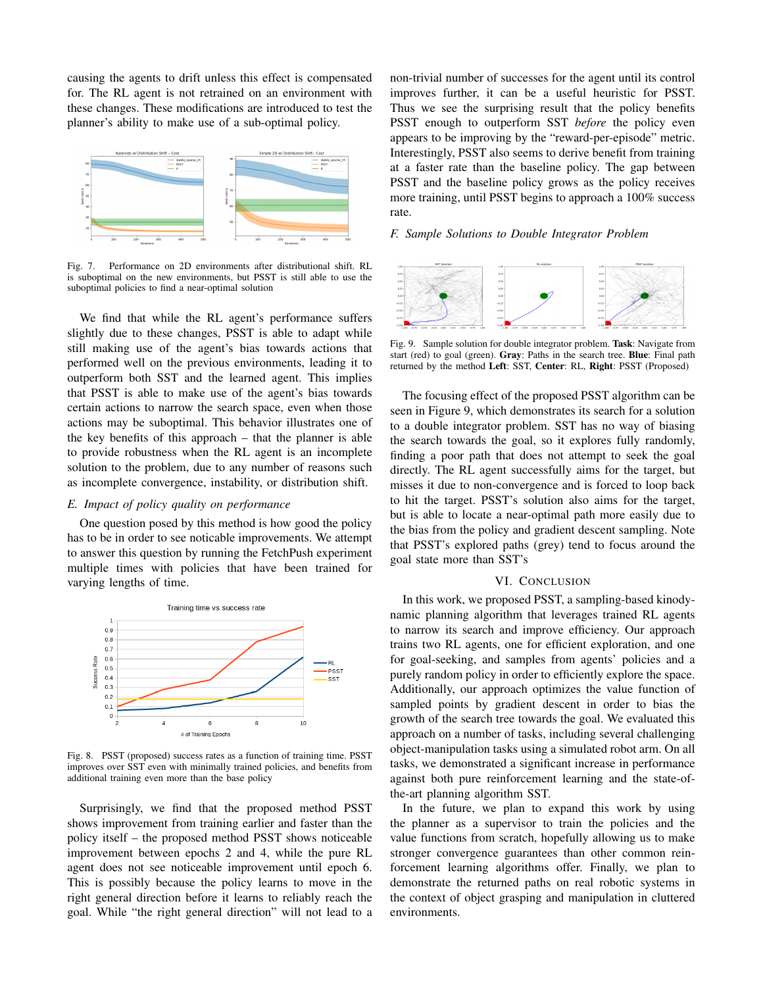causing the agents to drift unless this effect is compensated for. The RL agent is not retrained on an environment with these changes. These modifications are introduced to test the planner's ability to make use of a sub-optimal policy.



Performance on 2D environments after distributional shift. RL is suboptimal on the new environments, but PSST is still able to use the suboptimal policies to find a near-optimal solution

We find that while the RL agent's performance suffers slightly due to these changes, PSST is able to adapt while still making use of the agent's bias towards actions that performed well on the previous environments, leading it to outperform both SST and the learned agent. This implies that PSST is able to make use of the agent's bias towards certain actions to narrow the search space, even when those actions may be suboptimal. This behavior illustrates one of the key benefits of this approach  $-$  that the planner is able to provide robustness when the RL agent is an incomplete solution to the problem, due to any number of reasons such as incomplete convergence, instability, or distribution shift.

## E. Impact of policy quality on performance

One question posed by this method is how good the policy has to be in order to see noticable improvements. We attempt to answer this question by running the FetchPush experiment multiple times with policies that have been trained for varying lengths of time.



Fig. 8. PSST (proposed) success rates as a function of training time. PSST improves over SST even with minimally trained policies, and benefits from additional training even more than the base policy

Surprisingly, we find that the proposed method PSST shows improvement from training earlier and faster than the policy itself – the proposed method PSST shows noticeable improvement between epochs 2 and 4, while the pure RL agent does not see noticeable improvement until epoch 6. This is possibly because the policy learns to move in the right general direction before it learns to reliably reach the goal. While "the right general direction" will not lead to a non-trivial number of successes for the agent until its control improves further, it can be a useful heuristic for PSST. Thus we see the surprising result that the policy benefits PSST enough to outperform SST before the policy even appears to be improving by the "reward-per-episode" metric. Interestingly, PSST also seems to derive benefit from training at a faster rate than the baseline policy. The gap between PSST and the baseline policy grows as the policy receives more training, until PSST begins to approach a 100% success rate.

## F. Sample Solutions to Double Integrator Problem



Fig. 9. Sample solution for double integrator problem. Task: Navigate from start (red) to goal (green). Gray: Paths in the search tree. Blue: Final path returned by the method Left: SST, Center: RL, Right: PSST (Proposed)

The focusing effect of the proposed PSST algorithm can be seen in Figure 9, which demonstrates its search for a solution to a double integrator problem. SST has no way of biasing the search towards the goal, so it explores fully randomly, finding a poor path that does not attempt to seek the goal directly. The RL agent successfully aims for the target, but misses it due to non-convergence and is forced to loop back to hit the target. PSST's solution also aims for the target, but is able to locate a near-optimal path more easily due to the bias from the policy and gradient descent sampling. Note that PSST's explored paths (grey) tend to focus around the goal state more than SST's

## VI. CONCLUSION

In this work, we proposed PSST, a sampling-based kinodynamic planning algorithm that leverages trained RL agents to narrow its search and improve efficiency. Our approach trains two RL agents, one for efficient exploration, and one for goal-seeking, and samples from agents' policies and a purely random policy in order to efficiently explore the space. Additionally, our approach optimizes the value function of sampled points by gradient descent in order to bias the growth of the search tree towards the goal. We evaluated this approach on a number of tasks, including several challenging object-manipulation tasks using a simulated robot arm. On all tasks, we demonstrated a significant increase in performance against both pure reinforcement learning and the state-ofthe-art planning algorithm SST.

In the future, we plan to expand this work by using the planner as a supervisor to train the policies and the value functions from scratch, hopefully allowing us to make stronger convergence guarantees than other common reinforcement learning algorithms offer. Finally, we plan to demonstrate the returned paths on real robotic systems in the context of object grasping and manipulation in cluttered environments.